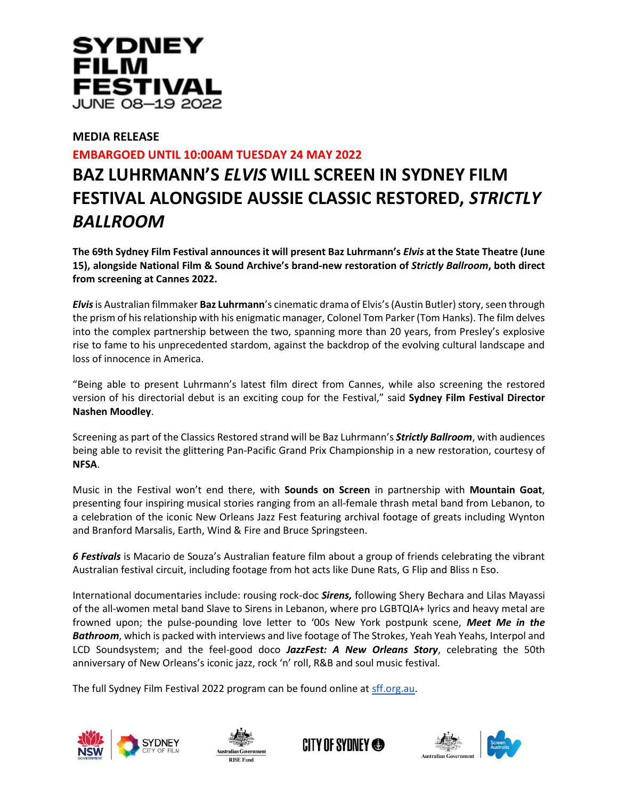

## **MEDIA RELEASE**

## **EMBARGOED UNTIL 10:00AM TUESDAY 24 MAY 2022**

# **BAZ LUHRMANN'S** *ELVIS* **WILL SCREEN IN SYDNEY FILM FESTIVAL ALONGSIDE AUSSIE CLASSIC RESTORED,** *STRICTLY BALLROOM*

**The 69th Sydney Film Festival announces it will present Baz Luhrmann's** *Elvis* **at the State Theatre (June 15), alongside National Film & Sound Archive's brand-new restoration of** *Strictly Ballroom***, both direct from screening at Cannes 2022.**

*Elvis*is Australian filmmaker **Baz Luhrmann**'s cinematic drama of Elvis's (Austin Butler) story, seen through the prism of his relationship with his enigmatic manager, Colonel Tom Parker (Tom Hanks). The film delves into the complex partnership between the two, spanning more than 20 years, from Presley's explosive rise to fame to his unprecedented stardom, against the backdrop of the evolving cultural landscape and loss of innocence in America.

"Being able to present Luhrmann's latest film direct from Cannes, while also screening the restored version of his directorial debut is an exciting coup for the Festival," said **Sydney Film Festival Director Nashen Moodley**.

Screening as part of the Classics Restored strand will be Baz Luhrmann's *Strictly Ballroom*, with audiences being able to revisit the glittering Pan-Pacific Grand Prix Championship in a new restoration, courtesy of **NFSA**.

Music in the Festival won't end there, with **Sounds on Screen** in partnership with **Mountain Goat**, presenting four inspiring musical stories ranging from an all-female thrash metal band from Lebanon, to a celebration of the iconic New Orleans Jazz Fest featuring archival footage of greats including Wynton and Branford Marsalis, Earth, Wind & Fire and Bruce Springsteen.

*6 Festivals* is Macario de Souza's Australian feature film about a group of friends celebrating the vibrant Australian festival circuit, including footage from hot acts like Dune Rats, G Flip and Bliss n Eso.

International documentaries include: rousing rock-doc *Sirens,* following Shery Bechara and Lilas Mayassi of the all-women metal band Slave to Sirens in Lebanon, where pro LGBTQIA+ lyrics and heavy metal are frowned upon; the pulse-pounding love letter to '00s New York postpunk scene, *Meet Me in the Bathroom*, which is packed with interviews and live footage of The Stroke*s*, Yeah Yeah Yeahs, Interpol and LCD Soundsystem; and the feel-good doco *JazzFest: A New Orleans Story*, celebrating the 50th anniversary of New Orleans's iconic jazz, rock 'n' roll, R&B and soul music festival.

The full Sydney Film Festival 2022 program can be found online a[t sff.org.au.](http://sff.org.au/)